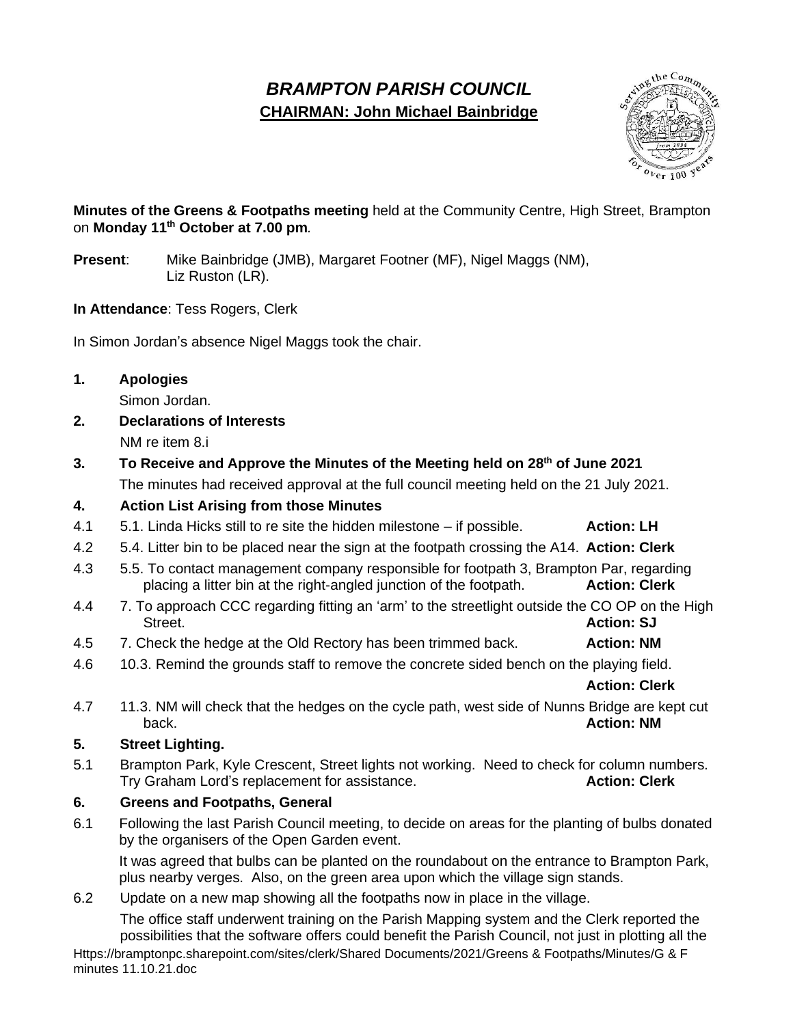# *BRAMPTON PARISH COUNCIL* **CHAIRMAN: John Michael Bainbridge**



# **Minutes of the Greens & Footpaths meeting** held at the Community Centre, High Street, Brampton on **Monday 11th October at 7.00 pm***.*

- **Present**: Mike Bainbridge (JMB), Margaret Footner (MF), Nigel Maggs (NM), Liz Ruston (LR).
- **In Attendance**: Tess Rogers, Clerk

In Simon Jordan's absence Nigel Maggs took the chair.

#### **1. Apologies**

Simon Jordan.

**2. Declarations of Interests** NM re item 8.i

**3. To Receive and Approve the Minutes of the Meeting held on 28th of June 2021**

The minutes had received approval at the full council meeting held on the 21 July 2021.

# **4. Action List Arising from those Minutes**

- 4.1 5.1. Linda Hicks still to re site the hidden milestone if possible. **Action: LH**
- 4.2 5.4. Litter bin to be placed near the sign at the footpath crossing the A14. **Action: Clerk**
- 4.3 5.5. To contact management company responsible for footpath 3, Brampton Par, regarding placing a litter bin at the right-angled junction of the footpath. **Action: Clerk**
- 4.4 7. To approach CCC regarding fitting an 'arm' to the streetlight outside the CO OP on the High **Street. Action: SJ**
- 4.5 7. Check the hedge at the Old Rectory has been trimmed back. **Action: NM**
- 4.6 10.3. Remind the grounds staff to remove the concrete sided bench on the playing field.

**Action: Clerk**

4.7 11.3. NM will check that the hedges on the cycle path, west side of Nunns Bridge are kept cut back. **Action: NM**

# **5. Street Lighting.**

5.1 Brampton Park, Kyle Crescent, Street lights not working. Need to check for column numbers. Try Graham Lord's replacement for assistance. **Action: Clerk**

# **6. Greens and Footpaths, General**

6.1 Following the last Parish Council meeting, to decide on areas for the planting of bulbs donated by the organisers of the Open Garden event.

It was agreed that bulbs can be planted on the roundabout on the entrance to Brampton Park, plus nearby verges. Also, on the green area upon which the village sign stands.

6.2 Update on a new map showing all the footpaths now in place in the village.

The office staff underwent training on the Parish Mapping system and the Clerk reported the possibilities that the software offers could benefit the Parish Council, not just in plotting all the

Https://bramptonpc.sharepoint.com/sites/clerk/Shared Documents/2021/Greens & Footpaths/Minutes/G & F minutes 11.10.21.doc